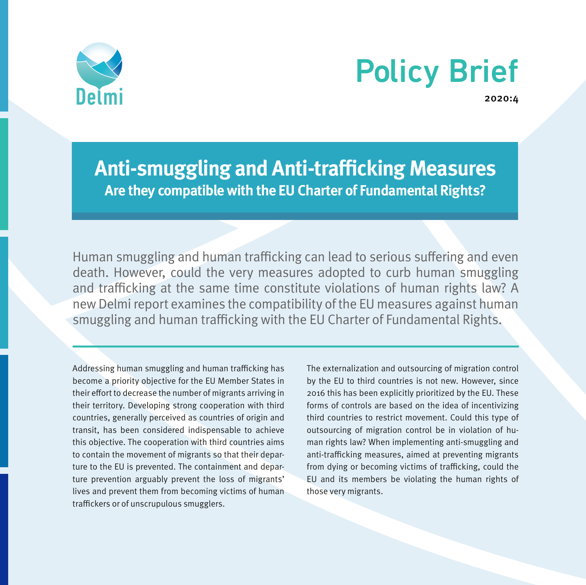

# Policy Brief

2020:4

**Anti-smuggling and Anti-trafficking Measures Are they compatible with the EU Charter of Fundamental Rights?**

Human smuggling and human trafficking can lead to serious suffering and even death. However, could the very measures adopted to curb human smuggling and trafficking at the same time constitute violations of human rights law? A new Delmi report examines the compatibility of the EU measures against human smuggling and human trafficking with the EU Charter of Fundamental Rights.

Addressing human smuggling and human trafficking has become a priority objective for the EU Member States in their effort to decrease the number of migrants arriving in their territory. Developing strong cooperation with third countries, generally perceived as countries of origin and transit, has been considered indispensable to achieve this objective. The cooperation with third countries aims to contain the movement of migrants so that their departure to the EU is prevented. The containment and departure prevention arguably prevent the loss of migrants' lives and prevent them from becoming victims of human traffickers or of unscrupulous smugglers.

The externalization and outsourcing of migration control by the EU to third countries is not new. However, since 2016 this has been explicitly prioritized by the EU. These forms of controls are based on the idea of incentivizing third countries to restrict movement. Could this type of outsourcing of migration control be in violation of human rights law? When implementing anti-smuggling and anti-trafficking measures, aimed at preventing migrants from dying or becoming victims of trafficking, could the EU and its members be violating the human rights of those very migrants.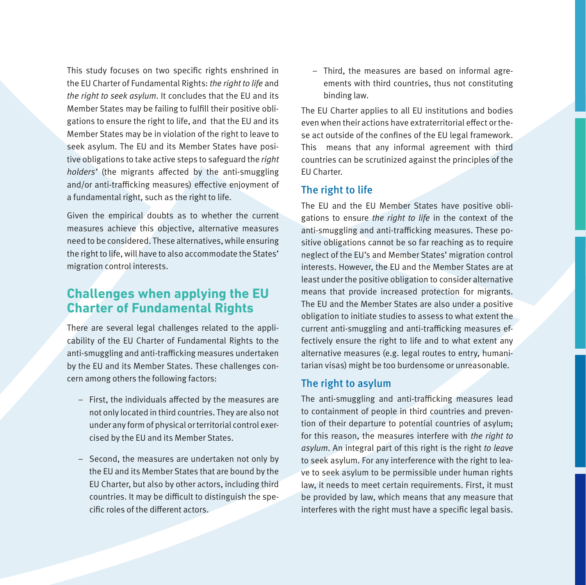This study focuses on two specific rights enshrined in the EU Charter of Fundamental Rights: the right to life and the right to seek asylum. It concludes that the EU and its Member States may be failing to fulfill their positive obligations to ensure the right to life, and that the EU and its Member States may be in violation of the right to leave to seek asylum. The EU and its Member States have positive obligations to take active steps to safeguard the right holders' (the migrants affected by the anti-smuggling and/or anti-trafficking measures) effective enjoyment of a fundamental right, such as the right to life.

Given the empirical doubts as to whether the current measures achieve this objective, alternative measures need to be considered. These alternatives, while ensuring the right to life, will have to also accommodate the States' migration control interests.

# **Challenges when applying the EU Charter of Fundamental Rights**

There are several legal challenges related to the applicability of the EU Charter of Fundamental Rights to the anti-smuggling and anti-trafficking measures undertaken by the EU and its Member States. These challenges concern among others the following factors:

- First, the individuals affected by the measures are not only located in third countries. They are also not under any form of physical or territorial control exercised by the EU and its Member States.
- Second, the measures are undertaken not only by the EU and its Member States that are bound by the EU Charter, but also by other actors, including third countries. It may be difficult to distinguish the specific roles of the different actors.

– Third, the measures are based on informal agreements with third countries, thus not constituting binding law.

The EU Charter applies to all EU institutions and bodies even when their actions have extraterritorial effect or these act outside of the confines of the EU legal framework. This means that any informal agreement with third countries can be scrutinized against the principles of the EU Charter.

#### The right to life

The EU and the EU Member States have positive obligations to ensure the right to life in the context of the anti-smuggling and anti-trafficking measures. These positive obligations cannot be so far reaching as to require neglect of the EU's and Member States' migration control interests. However, the EU and the Member States are at least under the positive obligation to consider alternative means that provide increased protection for migrants. The EU and the Member States are also under a positive obligation to initiate studies to assess to what extent the current anti-smuggling and anti-trafficking measures effectively ensure the right to life and to what extent any alternative measures (e.g. legal routes to entry, humanitarian visas) might be too burdensome or unreasonable.

#### The right to asylum

The anti-smuggling and anti-trafficking measures lead to containment of people in third countries and prevention of their departure to potential countries of asylum; for this reason, the measures interfere with the right to asylum. An integral part of this right is the right to leave to seek asylum. For any interference with the right to leave to seek asylum to be permissible under human rights law, it needs to meet certain requirements. First, it must be provided by law, which means that any measure that interferes with the right must have a specific legal basis.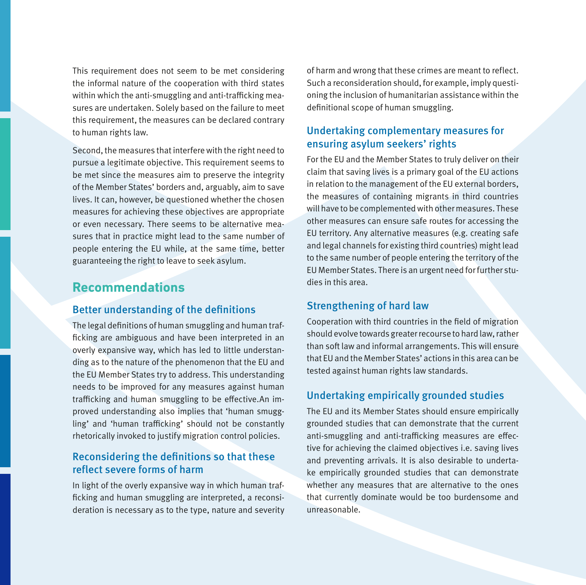This requirement does not seem to be met considering the informal nature of the cooperation with third states within which the anti-smuggling and anti-trafficking measures are undertaken. Solely based on the failure to meet this requirement, the measures can be declared contrary to human rights law.

Second, the measures that interfere with the right need to pursue a legitimate objective. This requirement seems to be met since the measures aim to preserve the integrity of the Member States' borders and, arguably, aim to save lives. It can, however, be questioned whether the chosen measures for achieving these objectives are appropriate or even necessary. There seems to be alternative measures that in practice might lead to the same number of people entering the EU while, at the same time, better guaranteeing the right to leave to seek asylum.

## **Recommendations**

## Better understanding of the definitions

The legal definitions of human smuggling and human trafficking are ambiguous and have been interpreted in an overly expansive way, which has led to little understanding as to the nature of the phenomenon that the EU and the EU Member States try to address. This understanding needs to be improved for any measures against human trafficking and human smuggling to be effective.An improved understanding also implies that 'human smuggling' and 'human trafficking' should not be constantly rhetorically invoked to justify migration control policies.

### Reconsidering the definitions so that these reflect severe forms of harm

In light of the overly expansive way in which human trafficking and human smuggling are interpreted, a reconsideration is necessary as to the type, nature and severity of harm and wrong that these crimes are meant to reflect. Such a reconsideration should, for example, imply questioning the inclusion of humanitarian assistance within the definitional scope of human smuggling.

### Undertaking complementary measures for ensuring asylum seekers' rights

For the EU and the Member States to truly deliver on their claim that saving lives is a primary goal of the EU actions in relation to the management of the EU external borders, the measures of containing migrants in third countries will have to be complemented with other measures. These other measures can ensure safe routes for accessing the EU territory. Any alternative measures (e.g. creating safe and legal channels for existing third countries) might lead to the same number of people entering the territory of the EU Member States. There is an urgent need for further studies in this area.

## Strengthening of hard law

Cooperation with third countries in the field of migration should evolve towards greater recourse to hard law, rather than soft law and informal arrangements. This will ensure that EU and the Member States' actions in this area can be tested against human rights law standards.

## Undertaking empirically grounded studies

The EU and its Member States should ensure empirically grounded studies that can demonstrate that the current anti-smuggling and anti-trafficking measures are effective for achieving the claimed objectives i.e. saving lives and preventing arrivals. It is also desirable to undertake empirically grounded studies that can demonstrate whether any measures that are alternative to the ones that currently dominate would be too burdensome and unreasonable.